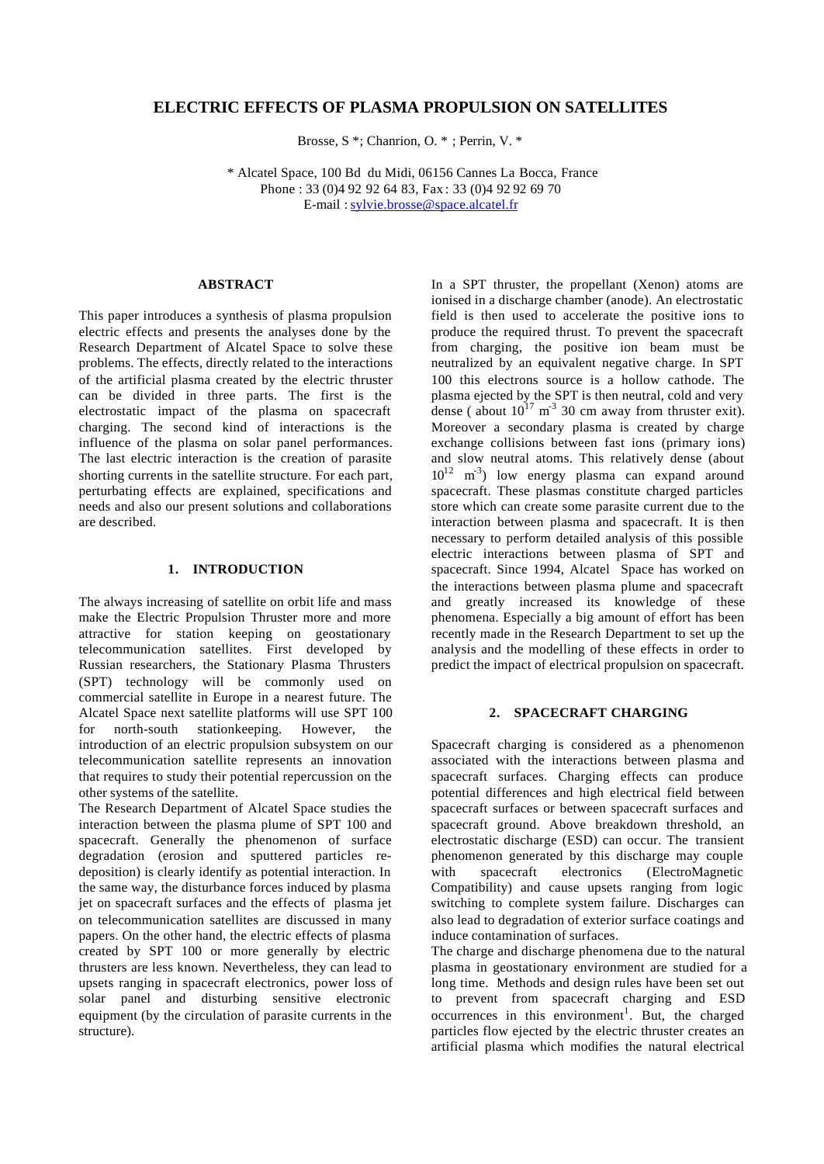# **ELECTRIC EFFECTS OF PLASMA PROPULSION ON SATELLITES**

Brosse, S \*; Chanrion, O. \* ; Perrin, V. \*

 \* Alcatel Space, 100 Bd du Midi, 06156 Cannes La Bocca, France Phone : 33 (0)4 92 92 64 83, Fax : 33 (0)4 92 92 69 70 E-mail : sylvie.brosse@space.alcatel.fr

# **ABSTRACT**

This paper introduces a synthesis of plasma propulsion electric effects and presents the analyses done by the Research Department of Alcatel Space to solve these problems. The effects, directly related to the interactions of the artificial plasma created by the electric thruster can be divided in three parts. The first is the electrostatic impact of the plasma on spacecraft charging. The second kind of interactions is the influence of the plasma on solar panel performances. The last electric interaction is the creation of parasite shorting currents in the satellite structure. For each part, perturbating effects are explained, specifications and needs and also our present solutions and collaborations are described.

### **1. INTRODUCTION**

The always increasing of satellite on orbit life and mass make the Electric Propulsion Thruster more and more attractive for station keeping on geostationary telecommunication satellites. First developed by Russian researchers, the Stationary Plasma Thrusters (SPT) technology will be commonly used on commercial satellite in Europe in a nearest future. The Alcatel Space next satellite platforms will use SPT 100 for north-south stationkeeping. However, the introduction of an electric propulsion subsystem on our telecommunication satellite represents an innovation that requires to study their potential repercussion on the other systems of the satellite.

The Research Department of Alcatel Space studies the interaction between the plasma plume of SPT 100 and spacecraft. Generally the phenomenon of surface degradation (erosion and sputtered particles redeposition) is clearly identify as potential interaction. In the same way, the disturbance forces induced by plasma jet on spacecraft surfaces and the effects of plasma jet on telecommunication satellites are discussed in many papers. On the other hand, the electric effects of plasma created by SPT 100 or more generally by electric thrusters are less known. Nevertheless, they can lead to upsets ranging in spacecraft electronics, power loss of solar panel and disturbing sensitive electronic equipment (by the circulation of parasite currents in the structure).

In a SPT thruster, the propellant (Xenon) atoms are ionised in a discharge chamber (anode). An electrostatic field is then used to accelerate the positive ions to produce the required thrust. To prevent the spacecraft from charging, the positive ion beam must be neutralized by an equivalent negative charge. In SPT 100 this electrons source is a hollow cathode. The plasma ejected by the SPT is then neutral, cold and very dense (about  $10^{17}$  m<sup>-3</sup> 30 cm away from thruster exit). Moreover a secondary plasma is created by charge exchange collisions between fast ions (primary ions) and slow neutral atoms. This relatively dense (about  $10^{12}$  m<sup>-3</sup>) low energy plasma can expand around spacecraft. These plasmas constitute charged particles store which can create some parasite current due to the interaction between plasma and spacecraft. It is then necessary to perform detailed analysis of this possible electric interactions between plasma of SPT and spacecraft. Since 1994, Alcatel Space has worked on the interactions between plasma plume and spacecraft and greatly increased its knowledge of these phenomena. Especially a big amount of effort has been recently made in the Research Department to set up the analysis and the modelling of these effects in order to predict the impact of electrical propulsion on spacecraft.

### **2. SPACECRAFT CHARGING**

Spacecraft charging is considered as a phenomenon associated with the interactions between plasma and spacecraft surfaces. Charging effects can produce potential differences and high electrical field between spacecraft surfaces or between spacecraft surfaces and spacecraft ground. Above breakdown threshold, an electrostatic discharge (ESD) can occur. The transient phenomenon generated by this discharge may couple with spacecraft electronics (ElectroMagnetic Compatibility) and cause upsets ranging from logic switching to complete system failure. Discharges can also lead to degradation of exterior surface coatings and induce contamination of surfaces.

The charge and discharge phenomena due to the natural plasma in geostationary environment are studied for a long time. Methods and design rules have been set out to prevent from spacecraft charging and ESD  $occurrences$  in this environment<sup>1</sup>. But, the charged particles flow ejected by the electric thruster creates an artificial plasma which modifies the natural electrical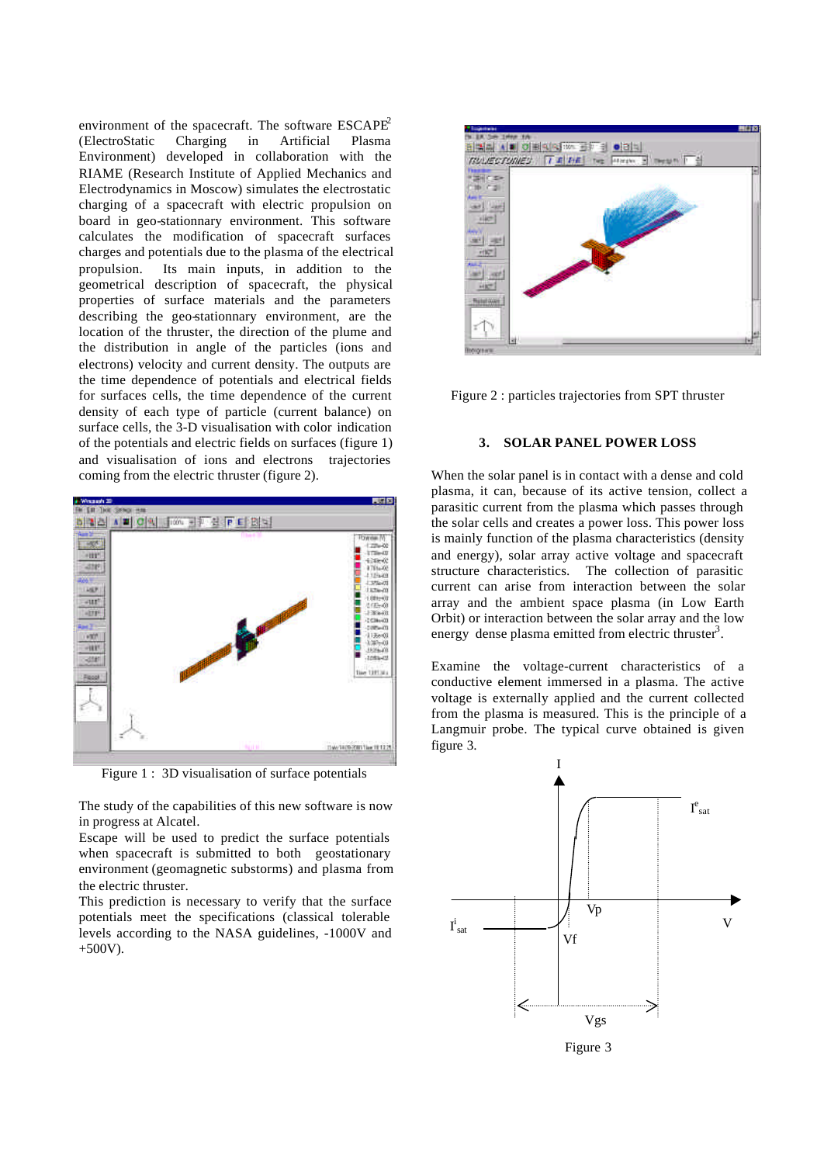environment of the spacecraft. The software  $ESCAPE<sup>2</sup>$ (ElectroStatic Charging in Artificial Plasma Environment) developed in collaboration with the RIAME (Research Institute of Applied Mechanics and Electrodynamics in Moscow) simulates the electrostatic charging of a spacecraft with electric propulsion on board in geo-stationnary environment. This software calculates the modification of spacecraft surfaces charges and potentials due to the plasma of the electrical propulsion. Its main inputs, in addition to the geometrical description of spacecraft, the physical properties of surface materials and the parameters describing the geo-stationnary environment, are the location of the thruster, the direction of the plume and the distribution in angle of the particles (ions and electrons) velocity and current density. The outputs are the time dependence of potentials and electrical fields for surfaces cells, the time dependence of the current density of each type of particle (current balance) on surface cells, the 3-D visualisation with color indication of the potentials and electric fields on surfaces (figure 1) and visualisation of ions and electrons trajectories coming from the electric thruster (figure 2).



Figure 1 : 3D visualisation of surface potentials

The study of the capabilities of this new software is now in progress at Alcatel.

Escape will be used to predict the surface potentials when spacecraft is submitted to both geostationary environment (geomagnetic substorms) and plasma from the electric thruster.

This prediction is necessary to verify that the surface potentials meet the specifications (classical tolerable levels according to the NASA guidelines, -1000V and  $+500V$ ).



Figure 2 : particles trajectories from SPT thruster

#### **3. SOLAR PANEL POWER LOSS**

When the solar panel is in contact with a dense and cold plasma, it can, because of its active tension, collect a parasitic current from the plasma which passes through the solar cells and creates a power loss. This power loss is mainly function of the plasma characteristics (density and energy), solar array active voltage and spacecraft structure characteristics. The collection of parasitic current can arise from interaction between the solar array and the ambient space plasma (in Low Earth Orbit) or interaction between the solar array and the low energy dense plasma emitted from electric thruster<sup>3</sup>.

Examine the voltage-current characteristics of a conductive element immersed in a plasma. The active voltage is externally applied and the current collected from the plasma is measured. This is the principle of a Langmuir probe. The typical curve obtained is given figure 3.



Figure 3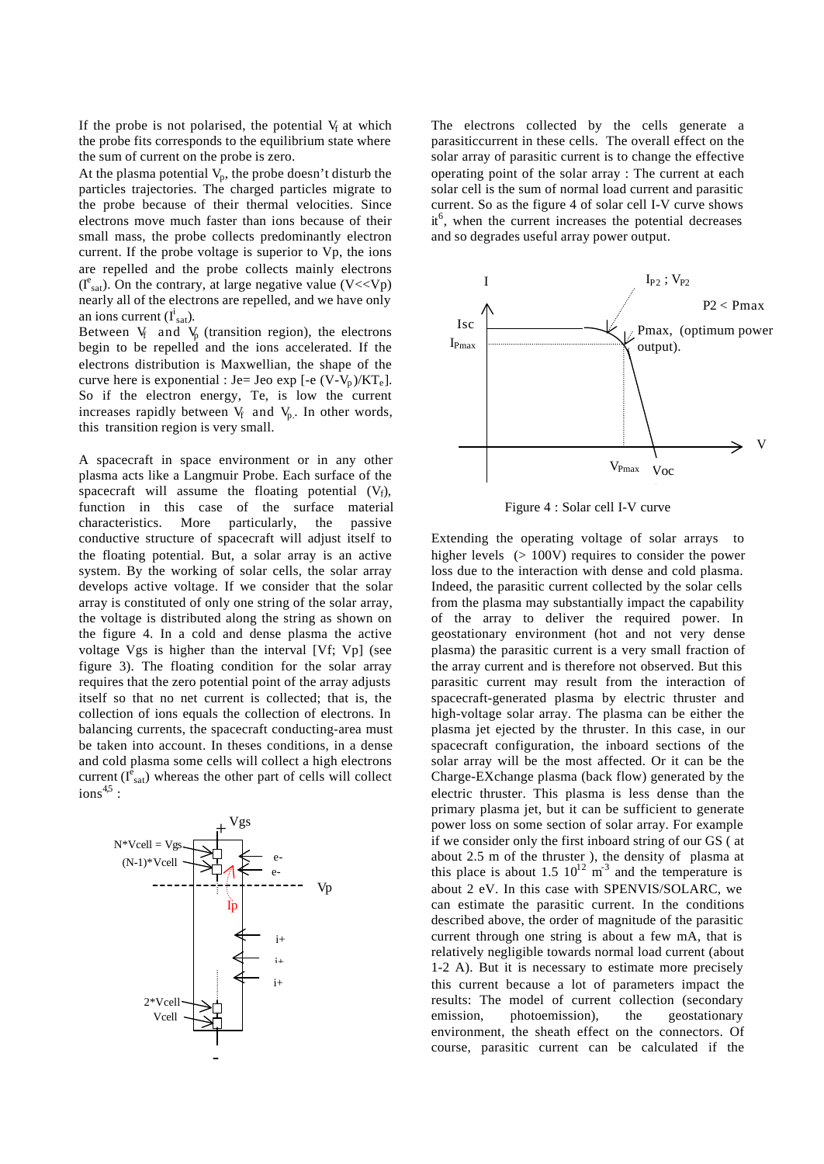If the probe is not polarised, the potential  $V_f$  at which the probe fits corresponds to the equilibrium state where the sum of current on the probe is zero.

At the plasma potential  $V_p$ , the probe doesn't disturb the particles trajectories. The charged particles migrate to the probe because of their thermal velocities. Since electrons move much faster than ions because of their small mass, the probe collects predominantly electron current. If the probe voltage is superior to Vp, the ions are repelled and the probe collects mainly electrons  $(I<sup>e</sup><sub>sat</sub>)$ . On the contrary, at large negative value (V<<Vp) nearly all of the electrons are repelled, and we have only an ions current  $(I<sup>i</sup><sub>sat</sub>)$ .

Between  $V_f$  and  $V_p$  (transition region), the electrons begin to be repelled and the ions accelerated. If the electrons distribution is Maxwellian, the shape of the curve here is exponential : Je= Jeo exp  $[-e (V-V_p)/kT_e]$ . So if the electron energy, Te, is low the current increases rapidly between  $V_f$  and  $V_p$ . In other words, this transition region is very small.

A spacecraft in space environment or in any other plasma acts like a Langmuir Probe. Each surface of the spacecraft will assume the floating potential  $(V_f)$ , function in this case of the surface material characteristics. More particularly, the passive conductive structure of spacecraft will adjust itself to the floating potential. But, a solar array is an active system. By the working of solar cells, the solar array develops active voltage. If we consider that the solar array is constituted of only one string of the solar array, the voltage is distributed along the string as shown on the figure 4. In a cold and dense plasma the active voltage Vgs is higher than the interval [Vf; Vp] (see figure 3). The floating condition for the solar array requires that the zero potential point of the array adjusts itself so that no net current is collected; that is, the collection of ions equals the collection of electrons. In balancing currents, the spacecraft conducting-area must be taken into account. In theses conditions, in a dense and cold plasma some cells will collect a high electrons current  $(I_{sat}^{\hat{e}})$  whereas the other part of cells will collect  $ions^{4,5}:$ 



The electrons collected by the cells generate a parasiticcurrent in these cells. The overall effect on the solar array of parasitic current is to change the effective operating point of the solar array : The current at each solar cell is the sum of normal load current and parasitic current. So as the figure 4 of solar cell I-V curve shows it<sup>6</sup>, when the current increases the potential decreases and so degrades useful array power output.



Figure 4 : Solar cell I-V curve

Extending the operating voltage of solar arrays to higher levels ( $> 100V$ ) requires to consider the power loss due to the interaction with dense and cold plasma. Indeed, the parasitic current collected by the solar cells from the plasma may substantially impact the capability of the array to deliver the required power. In geostationary environment (hot and not very dense plasma) the parasitic current is a very small fraction of the array current and is therefore not observed. But this parasitic current may result from the interaction of spacecraft-generated plasma by electric thruster and high-voltage solar array. The plasma can be either the plasma jet ejected by the thruster. In this case, in our spacecraft configuration, the inboard sections of the solar array will be the most affected. Or it can be the Charge-EXchange plasma (back flow) generated by the electric thruster. This plasma is less dense than the primary plasma jet, but it can be sufficient to generate power loss on some section of solar array. For example if we consider only the first inboard string of our GS ( at about 2.5 m of the thruster ), the density of plasma at this place is about 1.5  $10^{12}$  m<sup>-3</sup> and the temperature is about 2 eV. In this case with SPENVIS/SOLARC, we can estimate the parasitic current. In the conditions described above, the order of magnitude of the parasitic current through one string is about a few mA, that is relatively negligible towards normal load current (about 1-2 A). But it is necessary to estimate more precisely this current because a lot of parameters impact the results: The model of current collection (secondary emission, photoemission), the geostationary environment, the sheath effect on the connectors. Of course, parasitic current can be calculated if the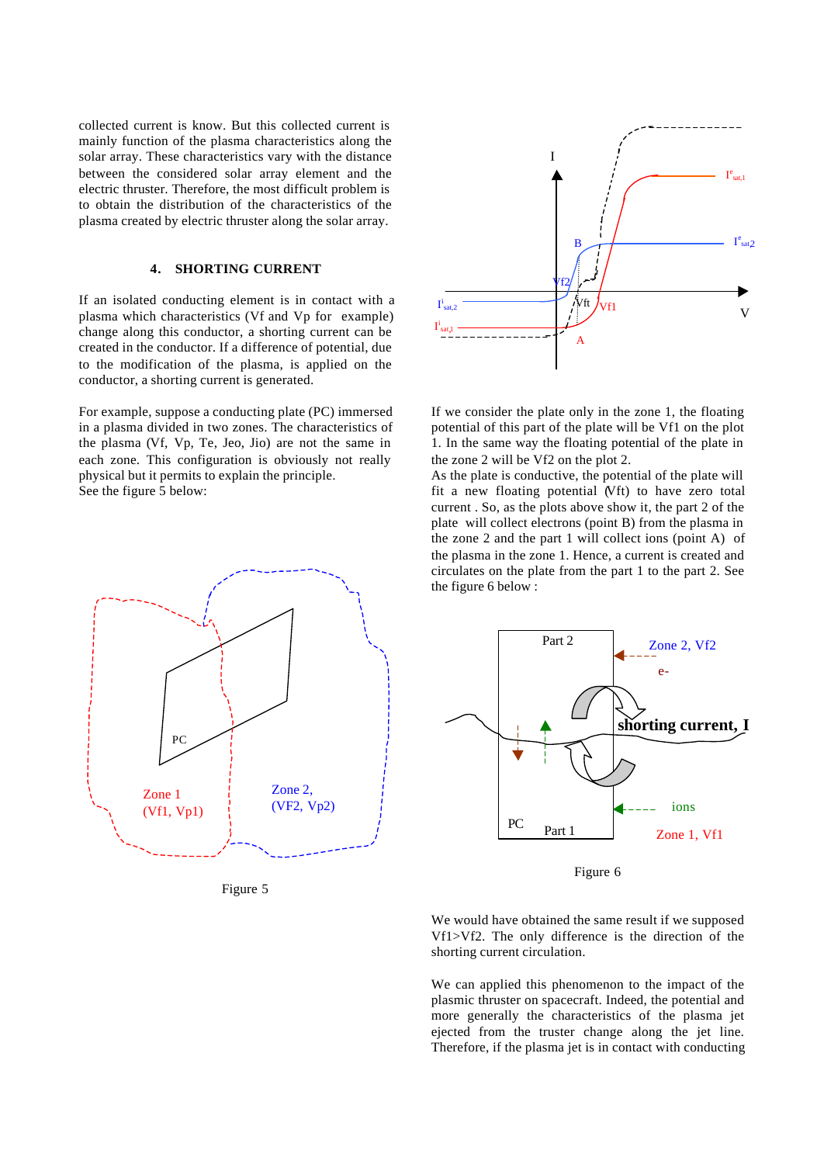collected current is know. But this collected current is mainly function of the plasma characteristics along the solar array. These characteristics vary with the distance between the considered solar array element and the electric thruster. Therefore, the most difficult problem is to obtain the distribution of the characteristics of the plasma created by electric thruster along the solar array.

## **4. SHORTING CURRENT**

If an isolated conducting element is in contact with a plasma which characteristics (Vf and Vp for example) change along this conductor, a shorting current can be created in the conductor. If a difference of potential, due to the modification of the plasma, is applied on the conductor, a shorting current is generated.

For example, suppose a conducting plate (PC) immersed in a plasma divided in two zones. The characteristics of the plasma (Vf, Vp, Te, Jeo, Jio) are not the same in each zone. This configuration is obviously not really physical but it permits to explain the principle. See the figure 5 below:



Figure 5



If we consider the plate only in the zone 1, the floating potential of this part of the plate will be Vf1 on the plot 1. In the same way the floating potential of the plate in the zone 2 will be Vf2 on the plot 2.

As the plate is conductive, the potential of the plate will fit a new floating potential (Vft) to have zero total current . So, as the plots above show it, the part 2 of the plate will collect electrons (point B) from the plasma in the zone 2 and the part 1 will collect ions (point A) of the plasma in the zone 1. Hence, a current is created and circulates on the plate from the part 1 to the part 2. See the figure 6 below :



Figure 6

We would have obtained the same result if we supposed Vf1>Vf2. The only difference is the direction of the shorting current circulation.

We can applied this phenomenon to the impact of the plasmic thruster on spacecraft. Indeed, the potential and more generally the characteristics of the plasma jet ejected from the truster change along the jet line. Therefore, if the plasma jet is in contact with conducting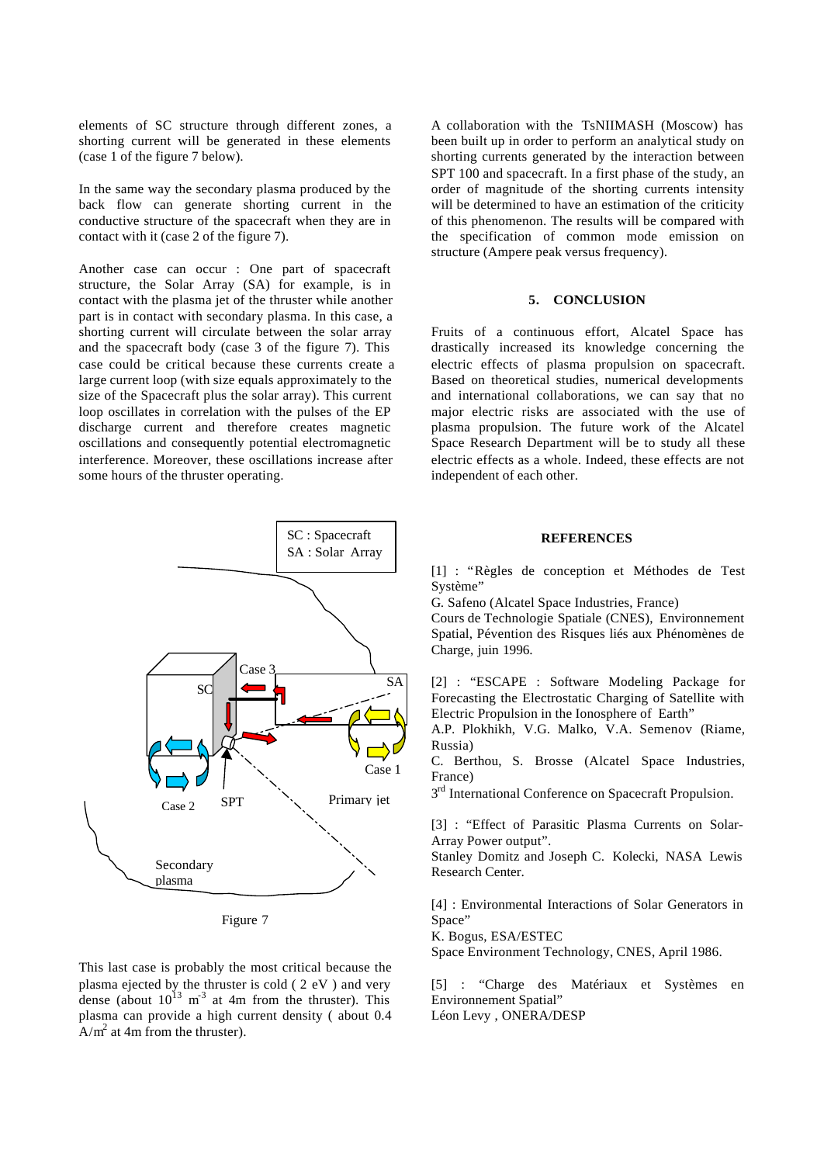elements of SC structure through different zones, a shorting current will be generated in these elements (case 1 of the figure 7 below).

In the same way the secondary plasma produced by the back flow can generate shorting current in the conductive structure of the spacecraft when they are in contact with it (case 2 of the figure 7).

Another case can occur : One part of spacecraft structure, the Solar Array (SA) for example, is in contact with the plasma jet of the thruster while another part is in contact with secondary plasma. In this case, a shorting current will circulate between the solar array and the spacecraft body (case 3 of the figure 7). This case could be critical because these currents create a large current loop (with size equals approximately to the size of the Spacecraft plus the solar array). This current loop oscillates in correlation with the pulses of the EP discharge current and therefore creates magnetic oscillations and consequently potential electromagnetic interference. Moreover, these oscillations increase after some hours of the thruster operating.



Figure 7

This last case is probably the most critical because the plasma ejected by the thruster is cold ( 2 eV ) and very dense (about  $10^{13}$  m<sup>-3</sup> at 4m from the thruster). This plasma can provide a high current density ( about 0.4  $A/m^2$  at 4m from the thruster).

A collaboration with the TsNIIMASH (Moscow) has been built up in order to perform an analytical study on shorting currents generated by the interaction between SPT 100 and spacecraft. In a first phase of the study, an order of magnitude of the shorting currents intensity will be determined to have an estimation of the criticity of this phenomenon. The results will be compared with the specification of common mode emission on structure (Ampere peak versus frequency).

### **5. CONCLUSION**

Fruits of a continuous effort, Alcatel Space has drastically increased its knowledge concerning the electric effects of plasma propulsion on spacecraft. Based on theoretical studies, numerical developments and international collaborations, we can say that no major electric risks are associated with the use of plasma propulsion. The future work of the Alcatel Space Research Department will be to study all these electric effects as a whole. Indeed, these effects are not independent of each other.

# **REFERENCES**

[1] : "Règles de conception et Méthodes de Test Système"

G. Safeno (Alcatel Space Industries, France)

Cours de Technologie Spatiale (CNES), Environnement Spatial, Pévention des Risques liés aux Phénomènes de Charge, juin 1996.

[2] : "ESCAPE : Software Modeling Package for Forecasting the Electrostatic Charging of Satellite with Electric Propulsion in the Ionosphere of Earth"

A.P. Plokhikh, V.G. Malko, V.A. Semenov (Riame, Russia)

C. Berthou, S. Brosse (Alcatel Space Industries, France)

3<sup>rd</sup> International Conference on Spacecraft Propulsion.

[3] : "Effect of Parasitic Plasma Currents on Solar-Array Power output".

Stanley Domitz and Joseph C. Kolecki, NASA Lewis Research Center.

[4] : Environmental Interactions of Solar Generators in Space"

K. Bogus, ESA/ESTEC

Space Environment Technology, CNES, April 1986.

[5] : "Charge des Matériaux et Systèmes en Environnement Spatial" Léon Levy , ONERA/DESP